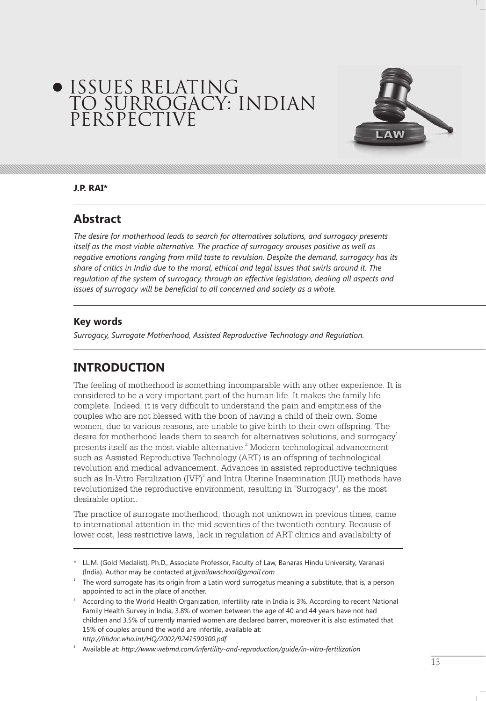# ISSUES RELATING TO SURROGACY: INDIAN PERSPECTIVE



#### **J.P. RAI\***

### **Abstract**

*The desire for motherhood leads to search for alternatives solutions, and surrogacy presents itself as the most viable alternative. The practice of surrogacy arouses positive as well as negative emotions ranging from mild taste to revulsion. Despite the demand, surrogacy has its share of critics in India due to the moral, ethical and legal issues that swirls around it. The regulation of the system of surrogacy, through an effective legislation, dealing all aspects and issues of surrogacy will be beneficial to all concerned and society as a whole.*

#### **Key words**

*Surrogacy, Surrogate Motherhood, Assisted Reproductive Technology and Regulation.*

## **INTRODUCTION**

The feeling of motherhood is something incomparable with any other experience. It is considered to be a very important part of the human life. It makes the family life complete. Indeed, it is very difficult to understand the pain and emptiness of the couples who are not blessed with the boon of having a child of their own. Some women, due to various reasons, are unable to give birth to their own offspring. The desire for motherhood leads them to search for alternatives solutions, and  $\mathrm{surrogacy}^\mathrm{1}$ presents itself as the most viable alternative. $\mathrm{^2}$  Modern technological advancement such as Assisted Reproductive Technology (ART) is an offspring of technological revolution and medical advancement. Advances in assisted reproductive techniques such as In-Vitro Fertilization (IVF) $^{\circ}$  and Intra Uterine Insemination (IUI) methods have revolutionized the reproductive environment, resulting in "Surrogacy", as the most desirable option.

The practice of surrogate motherhood, though not unknown in previous times, came to international attention in the mid seventies of the twentieth century. Because of lower cost, less restrictive laws, lack in regulation of ART clinics and availability of

<sup>\*</sup> LL.M. (Gold Medalist), Ph.D., Associate Professor, Faculty of Law, Banaras Hindu University, Varanasi (India). Author may be contacted at *jprailawschool@gmail.com*

<sup>&</sup>lt;sup>1</sup> The word surrogate has its origin from a Latin word surrogatus meaning a substitute, that is, a person appointed to act in the place of another.

<sup>2</sup> According to the World Health Organization, infertility rate in India is 3%. According to recent National Family Health Survey in India, 3.8% of women between the age of 40 and 44 years have not had children and 3.5% of currently married women are declared barren, moreover it is also estimated that 15% of couples around the world are infertile, available at: *http://libdoc.who.int/HQ/2002/9241590300.pdf*

<sup>3</sup> Available at: *http://www.webmd.com/infertility-and-reproduction/guide/in-vitro-fertilization*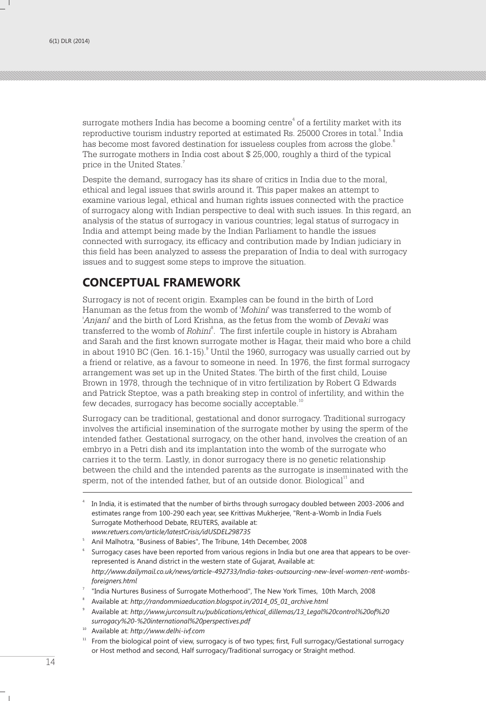surrogate mothers India has become a booming centre $^{\rm 4}$  of a fertility market with its reproductive tourism industry reported at estimated Rs. 25000 Crores in total.<sup>5</sup> India has become most favored destination for issueless couples from across the globe.  $\degree$ The surrogate mothers in India cost about \$ 25,000, roughly a third of the typical price in the United States.<sup>7</sup>

Despite the demand, surrogacy has its share of critics in India due to the moral, ethical and legal issues that swirls around it. This paper makes an attempt to examine various legal, ethical and human rights issues connected with the practice of surrogacy along with Indian perspective to deal with such issues. In this regard, an analysis of the status of surrogacy in various countries; legal status of surrogacy in India and attempt being made by the Indian Parliament to handle the issues connected with surrogacy, its efficacy and contribution made by Indian judiciary in this field has been analyzed to assess the preparation of India to deal with surrogacy issues and to suggest some steps to improve the situation.

### **CONCEPTUAL FRAMEWORK**

Surrogacy is not of recent origin. Examples can be found in the birth of Lord Hanuman as the fetus from the womb of *'Mohini'* was transferred to the womb of *'Anjani'* and the birth of Lord Krishna, as the fetus from the womb of *Devaki* was transferred to the womb of *Rohini<sup>s</sup>.* The first infertile couple in history is Abraham and Sarah and the first known surrogate mother is Hagar, their maid who bore a child in about 1910 BC (Gen. 16.1-15). $^{\circ}$  Until the 1960, surrogacy was usually carried out by a friend or relative, as a favour to someone in need. In 1976, the first formal surrogacy arrangement was set up in the United States. The birth of the first child, Louise Brown in 1978, through the technique of in vitro fertilization by Robert G Edwards and Patrick Steptoe, was a path breaking step in control of infertility, and within the few decades, surrogacy has become socially acceptable.<sup>10</sup>

Surrogacy can be traditional, gestational and donor surrogacy. Traditional surrogacy involves the artificial insemination of the surrogate mother by using the sperm of the intended father. Gestational surrogacy, on the other hand, involves the creation of an embryo in a Petri dish and its implantation into the womb of the surrogate who carries it to the term. Lastly, in donor surrogacy there is no genetic relationship between the child and the intended parents as the surrogate is inseminated with the sperm, not of the intended father, but of an outside donor. Biological $^{\rm 11}$  and

"India Nurtures Business of Surrogate Motherhood", The New York Times, 10th March, 2008

<sup>10</sup> Available at: *http://www.delhi-ivf.com*

<sup>4</sup> In India, it is estimated that the number of births through surrogacy doubled between 2003-2006 and estimates range from 100-290 each year, see Krittivas Mukherjee, "Rent-a-Womb in India Fuels Surrogate Motherhood Debate, REUTERS, available at: *www.retuers.com/article/latestCrisis/idUSDEL298735*

<sup>5</sup> Anil Malhotra, "Business of Babies", The Tribune, 14th December, 2008

<sup>6</sup> Surrogacy cases have been reported from various regions in India but one area that appears to be overrepresented is Anand district in the western state of Gujarat, Available at: *http://www.dailymail.co.uk/news/article-492733/India-takes-outsourcing-new-level-women-rent-wombsforeigners.html*

<sup>8</sup> Available at: *http://randommiaeducation.blogspot.in/2014\_05\_01\_archive.html*

<sup>9</sup> Available at: *http://www.jurconsult.ru/publications/ethical\_dillemas/13\_Legal%20control%20of%20 surrogacy%20-%20international%20perspectives.pdf*

<sup>&</sup>lt;sup>11</sup> From the biological point of view, surrogacy is of two types; first, Full surrogacy/Gestational surrogacy or Host method and second, Half surrogacy/Traditional surrogacy or Straight method.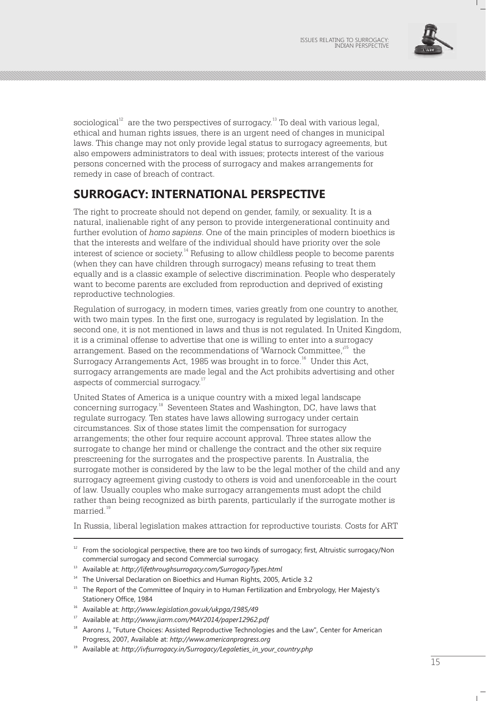

sociological<sup>12</sup> are the two perspectives of surrogacy.<sup>13</sup> To deal with various legal, ethical and human rights issues, there is an urgent need of changes in municipal laws. This change may not only provide legal status to surrogacy agreements, but also empowers administrators to deal with issues; protects interest of the various persons concerned with the process of surrogacy and makes arrangements for remedy in case of breach of contract.

# **SURROGACY: INTERNATIONAL PERSPECTIVE**

The right to procreate should not depend on gender, family, or sexuality. It is a natural, inalienable right of any person to provide intergenerational continuity and further evolution of *homo sapiens*. One of the main principles of modern bioethics is that the interests and welfare of the individual should have priority over the sole interest of science or society. $14$  Refusing to allow childless people to become parents (when they can have children through surrogacy) means refusing to treat them equally and is a classic example of selective discrimination. People who desperately want to become parents are excluded from reproduction and deprived of existing reproductive technologies.

Regulation of surrogacy, in modern times, varies greatly from one country to another, with two main types. In the first one, surrogacy is regulated by legislation. In the second one, it is not mentioned in laws and thus is not regulated. In United Kingdom, it is a criminal offense to advertise that one is willing to enter into a surrogacy arrangement. Based on the recommendations of 'Warnock Committee,'<sup>15</sup> the Surrogacy Arrangements Act, 1985 was brought in to force.<sup>16</sup> Under this Act, surrogacy arrangements are made legal and the Act prohibits advertising and other aspects of commercial surrogacy.<sup>17</sup>

United States of America is a unique country with a mixed legal landscape concerning surrogacy.<sup>18</sup> Seventeen States and Washington, DC, have laws that regulate surrogacy. Ten states have laws allowing surrogacy under certain circumstances. Six of those states limit the compensation for surrogacy arrangements; the other four require account approval. Three states allow the surrogate to change her mind or challenge the contract and the other six require prescreening for the surrogates and the prospective parents. In Australia, the surrogate mother is considered by the law to be the legal mother of the child and any surrogacy agreement giving custody to others is void and unenforceable in the court of law. Usually couples who make surrogacy arrangements must adopt the child rather than being recognized as birth parents, particularly if the surrogate mother is married.<sup>19</sup>

In Russia, liberal legislation makes attraction for reproductive tourists. Costs for ART

<sup>&</sup>lt;sup>12</sup> From the sociological perspective, there are too two kinds of surrogacy; first, Altruistic surrogacy/Non commercial surrogacy and second Commercial surrogacy.

<sup>13</sup> Available at: *http://lifethroughsurrogacy.com/SurrogacyTypes.html*

<sup>&</sup>lt;sup>14</sup> The Universal Declaration on Bioethics and Human Rights, 2005, Article 3.2

<sup>&</sup>lt;sup>15</sup> The Report of the Committee of Inquiry in to Human Fertilization and Embryology, Her Majesty's Stationery Office, 1984

<sup>16</sup> Available at: *http://www.legislation.gov.uk/ukpga/1985/49*

<sup>17</sup> Available at: *http://www.jiarm.com/MAY2014/paper12962.pdf*

<sup>&</sup>lt;sup>18</sup> Aarons J., "Future Choices: Assisted Reproductive Technologies and the Law", Center for American Progress, 2007, Available at: *http://www.americanprogress.org*

<sup>19</sup> Available at: *http://ivfsurrogacy.in/Surrogacy/Legaleties\_in\_your\_country.php*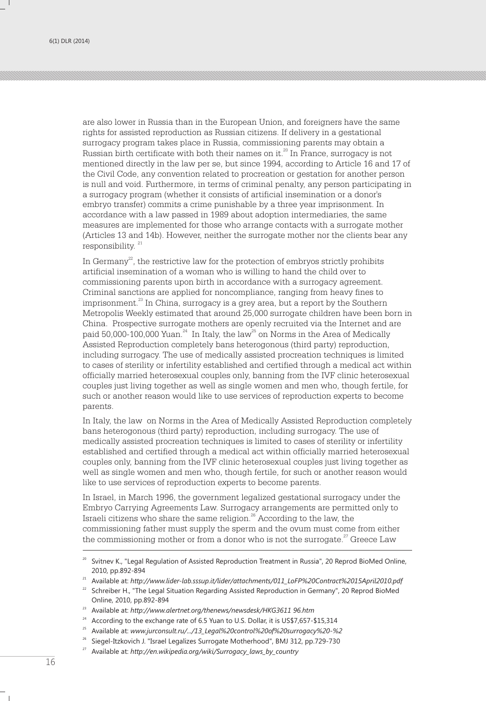are also lower in Russia than in the European Union, and foreigners have the same rights for assisted reproduction as Russian citizens. If delivery in a gestational surrogacy program takes place in Russia, commissioning parents may obtain a Russian birth certificate with both their names on it. $^{20}$  In France, surrogacy is not mentioned directly in the law per se, but since 1994, according to Article 16 and 17 of the Civil Code, any convention related to procreation or gestation for another person is null and void. Furthermore, in terms of criminal penalty, any person participating in a surrogacy program (whether it consists of artificial insemination or a donor's embryo transfer) commits a crime punishable by a three year imprisonment. In accordance with a law passed in 1989 about adoption intermediaries, the same measures are implemented for those who arrange contacts with a surrogate mother (Articles 13 and 14b). However, neither the surrogate mother nor the clients bear any responsibility.<sup>21</sup>

In Germany<sup>22</sup>, the restrictive law for the protection of embryos strictly prohibits artificial insemination of a woman who is willing to hand the child over to commissioning parents upon birth in accordance with a surrogacy agreement. Criminal sanctions are applied for noncompliance, ranging from heavy fines to  $23$  imprisonment.<sup>23</sup> In China, surrogacy is a grey area, but a report by the Southern Metropolis Weekly estimated that around 25,000 surrogate children have been born in China. Prospective surrogate mothers are openly recruited via the Internet and are paid 50,000-100,000 Yuan. <sup>24</sup> In Italy, the law<sup>25</sup> on Norms in the Area of Medically Assisted Reproduction completely bans heterogonous (third party) reproduction, including surrogacy. The use of medically assisted procreation techniques is limited to cases of sterility or infertility established and certified through a medical act within officially married heterosexual couples only, banning from the IVF clinic heterosexual couples just living together as well as single women and men who, though fertile, for such or another reason would like to use services of reproduction experts to become parents.

In Italy, the law on Norms in the Area of Medically Assisted Reproduction completely bans heterogonous (third party) reproduction, including surrogacy. The use of medically assisted procreation techniques is limited to cases of sterility or infertility established and certified through a medical act within officially married heterosexual couples only, banning from the IVF clinic heterosexual couples just living together as well as single women and men who, though fertile, for such or another reason would like to use services of reproduction experts to become parents.

In Israel, in March 1996, the government legalized gestational surrogacy under the Embryo Carrying Agreements Law. Surrogacy arrangements are permitted only to Israeli citizens who share the same religion. $26$  According to the law, the commissioning father must supply the sperm and the ovum must come from either the commissioning mother or from a donor who is not the surrogate. $27$  Greece Law

<sup>20</sup> Svitnev K., "Legal Regulation of Assisted Reproduction Treatment in Russia", 20 Reprod BioMed Online, 2010, pp.892-894

<sup>21</sup> Available at: *http://www.lider-lab.sssup.it/lider/attachments/011\_LoFP%20Contract%2015April2010.pdf*

<sup>&</sup>lt;sup>22</sup> Schreiber H., "The Legal Situation Regarding Assisted Reproduction in Germany", 20 Reprod BioMed Online, 2010, pp.892-894

<sup>23</sup> Available at: *http://www.alertnet.org/thenews/newsdesk/HKG3611 96.htm*

<sup>&</sup>lt;sup>24</sup> According to the exchange rate of 6.5 Yuan to U.S. Dollar, it is US\$7,657-\$15,314

<sup>25</sup> Available at: *www.jurconsult.ru/.../13\_Legal%20control%20of%20surrogacy%20-%2*

<sup>26</sup> Siegel-Itzkovich J. "Israel Legalizes Surrogate Motherhood", BMJ 312, pp.729-730

<sup>27</sup> Available at: *http://en.wikipedia.org/wiki/Surrogacy\_laws\_by\_country*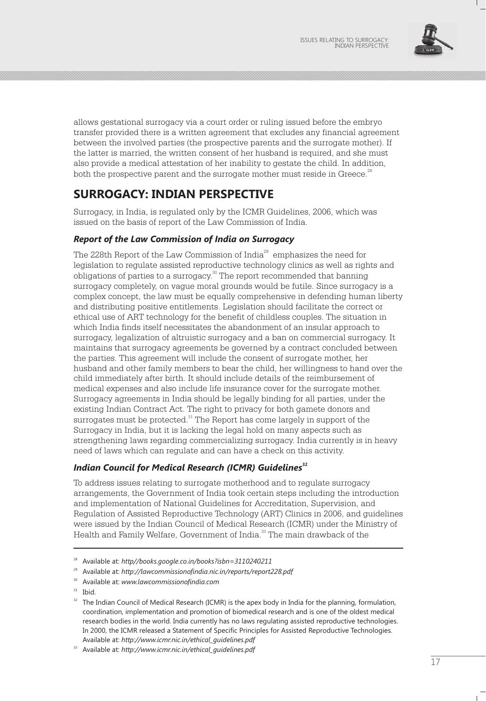

allows gestational surrogacy via a court order or ruling issued before the embryo transfer provided there is a written agreement that excludes any financial agreement between the involved parties (the prospective parents and the surrogate mother). If the latter is married, the written consent of her husband is required, and she must also provide a medical attestation of her inability to gestate the child. In addition, both the prospective parent and the surrogate mother must reside in Greece.<sup>28</sup>

# **SURROGACY: INDIAN PERSPECTIVE**

Surrogacy, in India, is regulated only by the ICMR Guidelines, 2006, which was issued on the basis of report of the Law Commission of India.

#### *Report of the Law Commission of India on Surrogacy*

The 228th Report of the Law Commission of India $^{29}$  emphasizes the need for legislation to regulate assisted reproductive technology clinics as well as rights and obligations of parties to a surrogacy.<sup>30</sup> The report recommended that banning surrogacy completely, on vague moral grounds would be futile. Since surrogacy is a complex concept, the law must be equally comprehensive in defending human liberty and distributing positive entitlements. Legislation should facilitate the correct or ethical use of ART technology for the benefit of childless couples. The situation in which India finds itself necessitates the abandonment of an insular approach to surrogacy, legalization of altruistic surrogacy and a ban on commercial surrogacy. It maintains that surrogacy agreements be governed by a contract concluded between the parties. This agreement will include the consent of surrogate mother, her husband and other family members to bear the child, her willingness to hand over the child immediately after birth. It should include details of the reimbursement of medical expenses and also include life insurance cover for the surrogate mother. Surrogacy agreements in India should be legally binding for all parties, under the existing Indian Contract Act. The right to privacy for both gamete donors and surrogates must be protected.<sup>31</sup> The Report has come largely in support of the Surrogacy in India, but it is lacking the legal hold on many aspects such as strengthening laws regarding commercializing surrogacy. India currently is in heavy need of laws which can regulate and can have a check on this activity.

#### **<sup>32</sup>** *Indian Council for Medical Research (ICMR) Guidelines*

To address issues relating to surrogate motherhood and to regulate surrogacy arrangements, the Government of India took certain steps including the introduction and implementation of National Guidelines for Accreditation, Supervision, and Regulation of Assisted Reproductive Technology (ART) Clinics in 2006, and guidelines were issued by the Indian Council of Medical Research (ICMR) under the Ministry of Health and Family Welfare, Government of India.<sup>33</sup> The main drawback of the

<sup>28</sup> Available at: *http//books.google.co.in/books?isbn=3110240211*

<sup>29</sup> Available at: *http://lawcommissionofindia.nic.in/reports/report228.pdf*

<sup>30</sup> Available at: *www.lawcommissionofindia.com*

<sup>&</sup>lt;sup>31</sup> Ibid.

<sup>&</sup>lt;sup>32</sup> The Indian Council of Medical Research (ICMR) is the apex body in India for the planning, formulation, coordination, implementation and promotion of biomedical research and is one of the oldest medical research bodies in the world. India currently has no laws regulating assisted reproductive technologies. In 2000, the ICMR released a Statement of Specific Principles for Assisted Reproductive Technologies. Available at: *http://www.icmr.nic.in/ethical\_guidelines.pdf*

<sup>33</sup> Available at: *http://www.icmr.nic.in/ethical\_guidelines.pdf*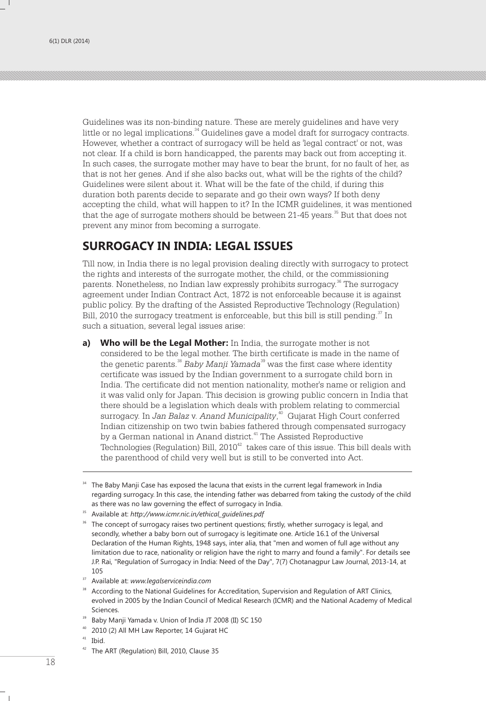Guidelines was its non-binding nature. These are merely guidelines and have very little or no legal implications. $34$  Guidelines gave a model draft for surrogacy contracts. However, whether a contract of surrogacy will be held as 'legal contract' or not, was not clear. If a child is born handicapped, the parents may back out from accepting it. In such cases, the surrogate mother may have to bear the brunt, for no fault of her, as that is not her genes. And if she also backs out, what will be the rights of the child? Guidelines were silent about it. What will be the fate of the child, if during this duration both parents decide to separate and go their own ways? If both deny accepting the child, what will happen to it? In the ICMR guidelines, it was mentioned that the age of surrogate mothers should be between  $21-45$  years.<sup>35</sup> But that does not prevent any minor from becoming a surrogate.

### **SURROGACY IN INDIA: LEGAL ISSUES**

Till now, in India there is no legal provision dealing directly with surrogacy to protect the rights and interests of the surrogate mother, the child, or the commissioning parents. Nonetheless, no Indian law expressly prohibits surrogacy.<sup>36</sup> The surrogacy agreement under Indian Contract Act, 1872 is not enforceable because it is against public policy. By the drafting of the Assisted Reproductive Technology (Regulation) Bill, 2010 the surrogacy treatment is enforceable, but this bill is still pending. In such a situation, several legal issues arise:

**a) Who will be the Legal Mother:** In India, the surrogate mother is not considered to be the legal mother. The birth certificate is made in the name of the genetic parents.<sup>38</sup> Baby Manji Yamada<sup>39</sup> was the first case where identity certificate was issued by the Indian government to a surrogate child born in India. The certificate did not mention nationality, mother's name or religion and it was valid only for Japan. This decision is growing public concern in India that there should be a legislation which deals with problem relating to commercial surrogacy. In *Jan Balaz* v. *Anand Municipality*,<sup>40</sup> Gujarat High Court conferred Indian citizenship on two twin babies fathered through compensated surrogacy by a German national in Anand district.<sup>41</sup> The Assisted Reproductive Technologies (Regulation) Bill,  $2010<sup>42</sup>$  takes care of this issue. This bill deals with the parenthood of child very well but is still to be converted into Act.

<sup>&</sup>lt;sup>34</sup> The Baby Manji Case has exposed the lacuna that exists in the current legal framework in India regarding surrogacy. In this case, the intending father was debarred from taking the custody of the child as there was no law governing the effect of surrogacy in India.

<sup>35</sup> Available at: *http://www.icmr.nic.in/ethical\_guidelines.pdf*

<sup>&</sup>lt;sup>36</sup> The concept of surrogacy raises two pertinent questions; firstly, whether surrogacy is legal, and secondly, whether a baby born out of surrogacy is legitimate one. Article 16.1 of the Universal Declaration of the Human Rights, 1948 says, inter alia, that "men and women of full age without any limitation due to race, nationality or religion have the right to marry and found a family". For details see J.P. Rai, "Regulation of Surrogacy in India: Need of the Day", 7(7) Chotanagpur Law Journal, 2013-14, at 105

<sup>37</sup> Available at: *www.legalserviceindia.com*

According to the National Guidelines for Accreditation, Supervision and Regulation of ART Clinics, evolved in 2005 by the Indian Council of Medical Research (ICMR) and the National Academy of Medical Sciences.

<sup>&</sup>lt;sup>39</sup> Baby Manji Yamada v. Union of India JT 2008 (II) SC 150

<sup>40</sup> 2010 (2) All MH Law Reporter, 14 Gujarat HC

 $41$  Ibid.

<sup>&</sup>lt;sup>42</sup> The ART (Regulation) Bill, 2010, Clause 35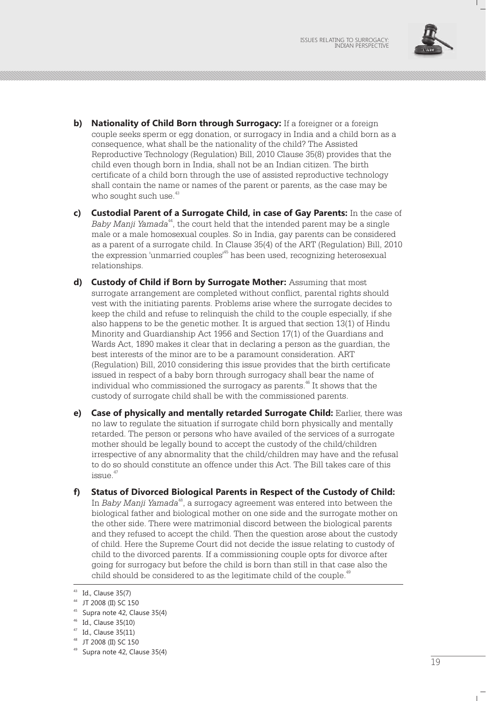

- **b)** Nationality of Child Born through Surrogacy: If a foreigner or a foreign couple seeks sperm or egg donation, or surrogacy in India and a child born as a consequence, what shall be the nationality of the child? The Assisted Reproductive Technology (Regulation) Bill, 2010 Clause 35(8) provides that the child even though born in India, shall not be an Indian citizen. The birth certificate of a child born through the use of assisted reproductive technology shall contain the name or names of the parent or parents, as the case may be who sought such use.<sup>43</sup>
- **c) Custodial Parent of a Surrogate Child, in case of Gay Parents:** In the case of Baby Manji Yamada<sup>44</sup>, the court held that the intended parent may be a single male or a male homosexual couples. So in India, gay parents can be considered as a parent of a surrogate child. In Clause 35(4) of the ART (Regulation) Bill, 2010 the expression 'unmarried couples<sup>45</sup> has been used, recognizing heterosexual relationships.
- **d) Custody of Child if Born by Surrogate Mother:** Assuming that most surrogate arrangement are completed without conflict, parental rights should vest with the initiating parents. Problems arise where the surrogate decides to keep the child and refuse to relinquish the child to the couple especially, if she also happens to be the genetic mother. It is argued that section 13(1) of Hindu Minority and Guardianship Act 1956 and Section 17(1) of the Guardians and Wards Act, 1890 makes it clear that in declaring a person as the guardian, the best interests of the minor are to be a paramount consideration. ART (Regulation) Bill, 2010 considering this issue provides that the birth certificate issued in respect of a baby born through surrogacy shall bear the name of individual who commissioned the surrogacy as parents.<sup>46</sup> It shows that the custody of surrogate child shall be with the commissioned parents.
- **e) Case of physically and mentally retarded Surrogate Child:** Earlier, there was no law to regulate the situation if surrogate child born physically and mentally retarded. The person or persons who have availed of the services of a surrogate mother should be legally bound to accept the custody of the child/children irrespective of any abnormality that the child/children may have and the refusal to do so should constitute an offence under this Act. The Bill takes care of this <sup>47</sup>issue.
- **f) Status of Divorced Biological Parents in Respect of the Custody of Child:**  In *Baby Manji Yamada*<sup>48</sup>, a surrogacy agreement was entered into between the biological father and biological mother on one side and the surrogate mother on the other side. There were matrimonial discord between the biological parents and they refused to accept the child. Then the question arose about the custody of child. Here the Supreme Court did not decide the issue relating to custody of child to the divorced parents. If a commissioning couple opts for divorce after going for surrogacy but before the child is born than still in that case also the child should be considered to as the legitimate child of the couple.<sup>49</sup>

<sup>43</sup> Id., Clause 35(7)

<sup>44</sup> JT 2008 (II) SC 150

<sup>45</sup> Supra note 42, Clause 35(4)

<sup>46</sup> Id., Clause 35(10)

<sup>47</sup> Id., Clause 35(11)

<sup>48</sup> JT 2008 (II) SC 150

<sup>49</sup> Supra note 42, Clause 35(4)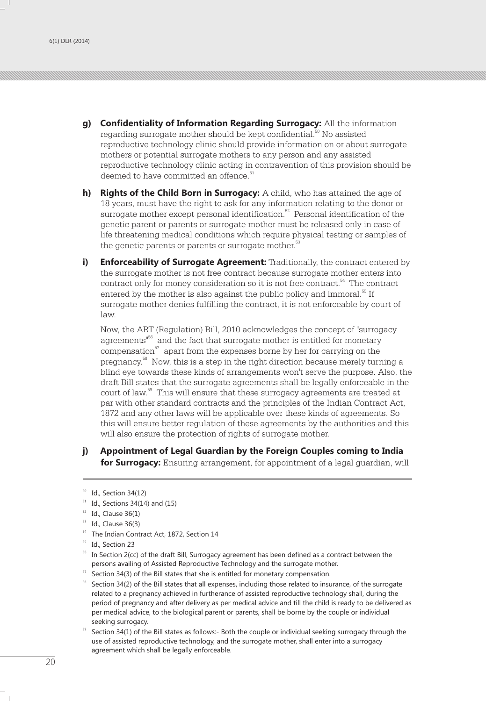- **g) Confidentiality of Information Regarding Surrogacy:** All the information regarding surrogate mother should be kept confidential.<sup>50</sup> No assisted reproductive technology clinic should provide information on or about surrogate mothers or potential surrogate mothers to any person and any assisted reproductive technology clinic acting in contravention of this provision should be deemed to have committed an offence.<sup>51</sup>
- **h) Rights of the Child Born in Surrogacy:** A child, who has attained the age of 18 years, must have the right to ask for any information relating to the donor or surrogate mother except personal identification.<sup>52</sup> Personal identification of the genetic parent or parents or surrogate mother must be released only in case of life threatening medical conditions which require physical testing or samples of the genetic parents or parents or surrogate mother.<sup>53</sup>
- **i) Enforceability of Surrogate Agreement:** Traditionally, the contract entered by the surrogate mother is not free contract because surrogate mother enters into contract only for money consideration so it is not free contract.<sup>54</sup> The contract entered by the mother is also against the public policy and immoral.<sup>55</sup> If surrogate mother denies fulfilling the contract, it is not enforceable by court of law.

Now, the ART (Regulation) Bill, 2010 acknowledges the concept of "surrogacy agreements<sup>156</sup> and the fact that surrogate mother is entitled for monetary compensation $57$  apart from the expenses borne by her for carrying on the pregnancy. $^{\rm 58}$  Now, this is a step in the right direction because merely turning a blind eye towards these kinds of arrangements won't serve the purpose. Also, the draft Bill states that the surrogate agreements shall be legally enforceable in the court of law.<sup>59</sup> This will ensure that these surrogacy agreements are treated at par with other standard contracts and the principles of the Indian Contract Act, 1872 and any other laws will be applicable over these kinds of agreements. So this will ensure better regulation of these agreements by the authorities and this will also ensure the protection of rights of surrogate mother.

**j) Appointment of Legal Guardian by the Foreign Couples coming to India for Surrogacy:** Ensuring arrangement, for appointment of a legal guardian, will

- $51$  Id., Sections 34(14) and (15)
- $52$  Id., Clause 36(1)
- <sup>53</sup> Id., Clause 36(3)
- <sup>54</sup> The Indian Contract Act, 1872, Section 14
- <sup>55</sup> Id., Section 23
- In Section 2(cc) of the draft Bill, Surrogacy agreement has been defined as a contract between the persons availing of Assisted Reproductive Technology and the surrogate mother.
- $57$  Section 34(3) of the Bill states that she is entitled for monetary compensation.
- <sup>58</sup> Section 34(2) of the Bill states that all expenses, including those related to insurance, of the surrogate related to a pregnancy achieved in furtherance of assisted reproductive technology shall, during the period of pregnancy and after delivery as per medical advice and till the child is ready to be delivered as per medical advice, to the biological parent or parents, shall be borne by the couple or individual seeking surrogacy.
- Section 34(1) of the Bill states as follows:- Both the couple or individual seeking surrogacy through the use of assisted reproductive technology, and the surrogate mother, shall enter into a surrogacy agreement which shall be legally enforceable.

 $50$  Id., Section 34(12)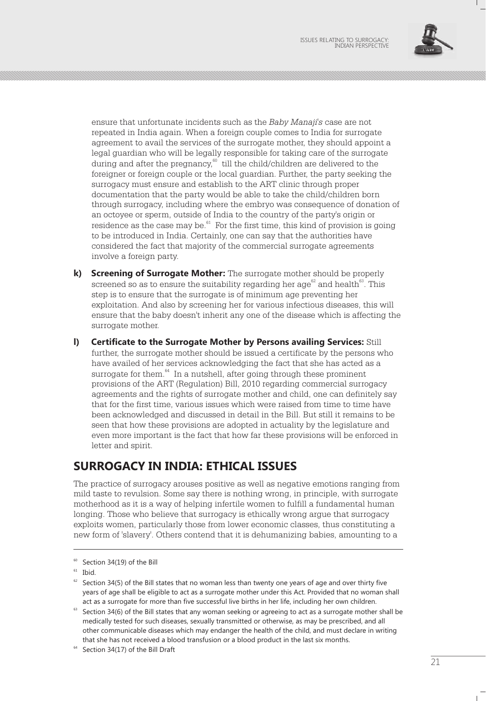

ensure that unfortunate incidents such as the *Baby Manaji's* case are not repeated in India again. When a foreign couple comes to India for surrogate agreement to avail the services of the surrogate mother, they should appoint a legal guardian who will be legally responsible for taking care of the surrogate during and after the pregnancy, $\overset{\circ}{\circ}$  till the child/children are delivered to the foreigner or foreign couple or the local guardian. Further, the party seeking the surrogacy must ensure and establish to the ART clinic through proper documentation that the party would be able to take the child/children born through surrogacy, including where the embryo was consequence of donation of an octoyee or sperm, outside of India to the country of the party's origin or residence as the case may be.<sup>61</sup> For the first time, this kind of provision is going to be introduced in India. Certainly, one can say that the authorities have considered the fact that majority of the commercial surrogate agreements involve a foreign party.

- **k) Screening of Surrogate Mother:** The surrogate mother should be properly screened so as to ensure the suitability regarding her age<sup> $62$ </sup> and health  $63$ . This step is to ensure that the surrogate is of minimum age preventing her exploitation. And also by screening her for various infectious diseases, this will ensure that the baby doesn't inherit any one of the disease which is affecting the surrogate mother.
- **l) Certificate to the Surrogate Mother by Persons availing Services:** Still further, the surrogate mother should be issued a certificate by the persons who have availed of her services acknowledging the fact that she has acted as a surrogate for them.<sup>64</sup> In a nutshell, after going through these prominent provisions of the ART (Regulation) Bill, 2010 regarding commercial surrogacy agreements and the rights of surrogate mother and child, one can definitely say that for the first time, various issues which were raised from time to time have been acknowledged and discussed in detail in the Bill. But still it remains to be seen that how these provisions are adopted in actuality by the legislature and even more important is the fact that how far these provisions will be enforced in letter and spirit.

# **SURROGACY IN INDIA: ETHICAL ISSUES**

The practice of surrogacy arouses positive as well as negative emotions ranging from mild taste to revulsion. Some say there is nothing wrong, in principle, with surrogate motherhood as it is a way of helping infertile women to fulfill a fundamental human longing. Those who believe that surrogacy is ethically wrong argue that surrogacy exploits women, particularly those from lower economic classes, thus constituting a new form of 'slavery'. Others contend that it is dehumanizing babies, amounting to a

- $62$  Section 34(5) of the Bill states that no woman less than twenty one years of age and over thirty five years of age shall be eligible to act as a surrogate mother under this Act. Provided that no woman shall act as a surrogate for more than five successful live births in her life, including her own children.
- $63$  Section 34(6) of the Bill states that any woman seeking or agreeing to act as a surrogate mother shall be medically tested for such diseases, sexually transmitted or otherwise, as may be prescribed, and all other communicable diseases which may endanger the health of the child, and must declare in writing that she has not received a blood transfusion or a blood product in the last six months.

 $60$  Section 34(19) of the Bill

 $61$  Ibid.

<sup>&</sup>lt;sup>64</sup> Section 34(17) of the Bill Draft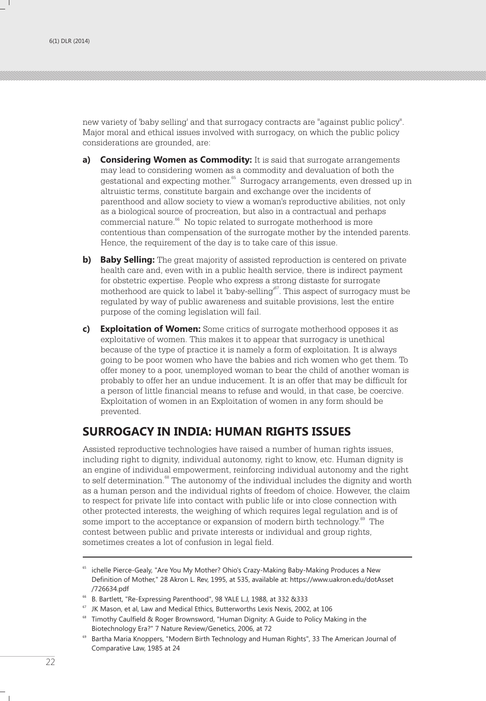new variety of 'baby selling' and that surrogacy contracts are "against public policy". Major moral and ethical issues involved with surrogacy, on which the public policy considerations are grounded, are:

- **a) Considering Women as Commodity:** It is said that surrogate arrangements may lead to considering women as a commodity and devaluation of both the gestational and expecting mother.<sup>65</sup> Surrogacy arrangements, even dressed up in altruistic terms, constitute bargain and exchange over the incidents of parenthood and allow society to view a woman's reproductive abilities, not only as a biological source of procreation, but also in a contractual and perhaps commercial nature.<sup>66</sup> No topic related to surrogate motherhood is more contentious than compensation of the surrogate mother by the intended parents. Hence, the requirement of the day is to take care of this issue.
- **b) Baby Selling:** The great majority of assisted reproduction is centered on private health care and, even with in a public health service, there is indirect payment for obstetric expertise. People who express a strong distaste for surrogate motherhood are quick to label it 'baby-selling'<sup> $67$ </sup>. This aspect of surrogacy must be regulated by way of public awareness and suitable provisions, lest the entire purpose of the coming legislation will fail.
- **c) Exploitation of Women:** Some critics of surrogate motherhood opposes it as exploitative of women. This makes it to appear that surrogacy is unethical because of the type of practice it is namely a form of exploitation. It is always going to be poor women who have the babies and rich women who get them. To offer money to a poor, unemployed woman to bear the child of another woman is probably to offer her an undue inducement. It is an offer that may be difficult for a person of little financial means to refuse and would, in that case, be coercive. Exploitation of women in an Exploitation of women in any form should be prevented.

### **SURROGACY IN INDIA: HUMAN RIGHTS ISSUES**

Assisted reproductive technologies have raised a number of human rights issues, including right to dignity, individual autonomy, right to know, etc. Human dignity is an engine of individual empowerment, reinforcing individual autonomy and the right to self determination.<sup>68</sup> The autonomy of the individual includes the dignity and worth as a human person and the individual rights of freedom of choice. However, the claim to respect for private life into contact with public life or into close connection with other protected interests, the weighing of which requires legal regulation and is of some import to the acceptance or expansion of modern birth technology.<sup>69</sup> The contest between public and private interests or individual and group rights, sometimes creates a lot of confusion in legal field.

- $67$  JK Mason, et al, Law and Medical Ethics, Butterworths Lexis Nexis, 2002, at 106
- <sup>68</sup> Timothy Caulfield & Roger Brownsword, "Human Dignity: A Guide to Policy Making in the Biotechnology Era?" 7 Nature Review/Genetics, 2006, at 72
- <sup>69</sup> Bartha Maria Knoppers, "Modern Birth Technology and Human Rights", 33 The American Journal of Comparative Law, 1985 at 24

<sup>&</sup>lt;sup>65</sup> ichelle Pierce-Gealy, "Are You My Mother? Ohio's Crazy-Making Baby-Making Produces a New Definition of Mother," 28 Akron L. Rev, 1995, at 535, available at: https://www.uakron.edu/dotAsset /726634.pdf

<sup>66</sup> B. Bartlett, "Re-Expressing Parenthood", 98 YALE L.J, 1988, at 332 &333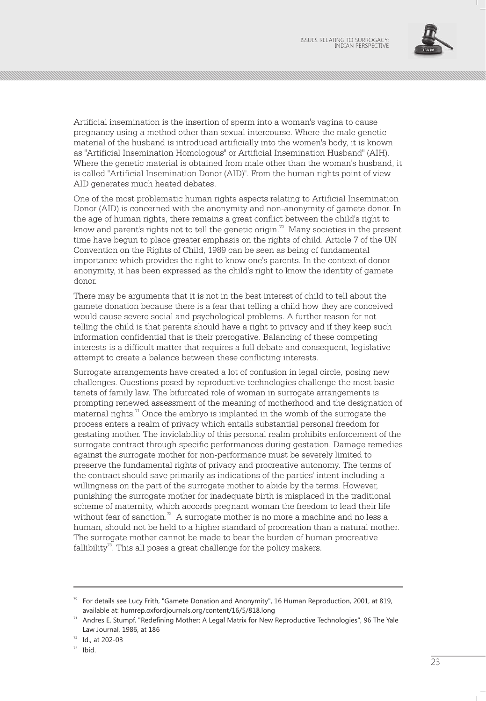

Artificial insemination is the insertion of sperm into a woman's vagina to cause pregnancy using a method other than sexual intercourse. Where the male genetic material of the husband is introduced artificially into the women's body, it is known as "Artificial Insemination Homologous" or Artificial Insemination Husband" (AIH). Where the genetic material is obtained from male other than the woman's husband, it is called "Artificial Insemination Donor (AID)". From the human rights point of view AID generates much heated debates.

One of the most problematic human rights aspects relating to Artificial Insemination Donor (AID) is concerned with the anonymity and non-anonymity of gamete donor. In the age of human rights, there remains a great conflict between the child's right to know and parent's rights not to tell the genetic origin.<sup>70</sup> Many societies in the present time have begun to place greater emphasis on the rights of child. Article 7 of the UN Convention on the Rights of Child, 1989 can be seen as being of fundamental importance which provides the right to know one's parents. In the context of donor anonymity, it has been expressed as the child's right to know the identity of gamete donor.

There may be arguments that it is not in the best interest of child to tell about the gamete donation because there is a fear that telling a child how they are conceived would cause severe social and psychological problems. A further reason for not telling the child is that parents should have a right to privacy and if they keep such information confidential that is their prerogative. Balancing of these competing interests is a difficult matter that requires a full debate and consequent, legislative attempt to create a balance between these conflicting interests.

Surrogate arrangements have created a lot of confusion in legal circle, posing new challenges. Questions posed by reproductive technologies challenge the most basic tenets of family law. The bifurcated role of woman in surrogate arrangements is prompting renewed assessment of the meaning of motherhood and the designation of maternal rights. $^{71}$  Once the embryo is implanted in the womb of the surrogate the process enters a realm of privacy which entails substantial personal freedom for gestating mother. The inviolability of this personal realm prohibits enforcement of the surrogate contract through specific performances during gestation. Damage remedies against the surrogate mother for non-performance must be severely limited to preserve the fundamental rights of privacy and procreative autonomy. The terms of the contract should save primarily as indications of the parties' intent including a willingness on the part of the surrogate mother to abide by the terms. However, punishing the surrogate mother for inadequate birth is misplaced in the traditional scheme of maternity, which accords pregnant woman the freedom to lead their life without fear of sanction.<sup> $72$ </sup> A surrogate mother is no more a machine and no less a human, should not be held to a higher standard of procreation than a natural mother. The surrogate mother cannot be made to bear the burden of human procreative fallibility<sup>73</sup>. This all poses a great challenge for the policy makers.

<sup>70</sup> For details see Lucy Frith, "Gamete Donation and Anonymity", 16 Human Reproduction, 2001, at 819, available at: humrep.oxfordjournals.org/content/16/5/818.long

 $71$  Andres E. Stumpf, "Redefining Mother: A Legal Matrix for New Reproductive Technologies", 96 The Yale Law Journal, 1986, at 186

<sup>72</sup> Id., at 202-03

 $73$  Ibid.